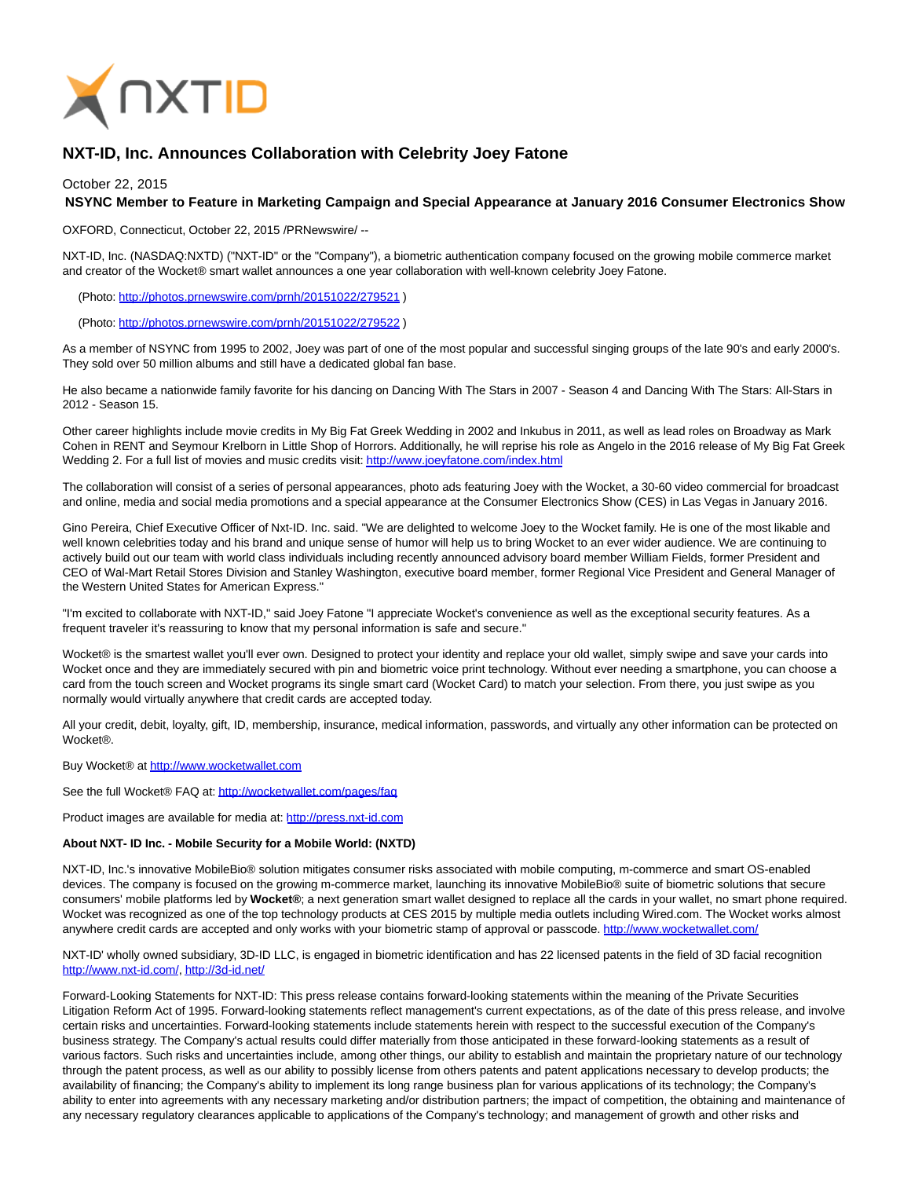

## **NXT-ID, Inc. Announces Collaboration with Celebrity Joey Fatone**

October 22, 2015

## **NSYNC Member to Feature in Marketing Campaign and Special Appearance at January 2016 Consumer Electronics Show**

OXFORD, Connecticut, October 22, 2015 /PRNewswire/ --

NXT-ID, Inc. (NASDAQ:NXTD) ("NXT-ID" or the "Company"), a biometric authentication company focused on the growing mobile commerce market and creator of the Wocket® smart wallet announces a one year collaboration with well-known celebrity Joey Fatone.

(Photo: [http://photos.prnewswire.com/prnh/20151022/279521 \)](http://photos.prnewswire.com/prnh/20151022/279521)

(Photo: [http://photos.prnewswire.com/prnh/20151022/279522 \)](http://photos.prnewswire.com/prnh/20151022/279522)

As a member of NSYNC from 1995 to 2002, Joey was part of one of the most popular and successful singing groups of the late 90's and early 2000's. They sold over 50 million albums and still have a dedicated global fan base.

He also became a nationwide family favorite for his dancing on Dancing With The Stars in 2007 - Season 4 and Dancing With The Stars: All-Stars in 2012 - Season 15.

Other career highlights include movie credits in My Big Fat Greek Wedding in 2002 and Inkubus in 2011, as well as lead roles on Broadway as Mark Cohen in RENT and Seymour Krelborn in Little Shop of Horrors. Additionally, he will reprise his role as Angelo in the 2016 release of My Big Fat Greek Wedding 2. For a full list of movies and music credits visit[: http://www.joeyfatone.com/index.html](http://www.joeyfatone.com/index.html)

The collaboration will consist of a series of personal appearances, photo ads featuring Joey with the Wocket, a 30-60 video commercial for broadcast and online, media and social media promotions and a special appearance at the Consumer Electronics Show (CES) in Las Vegas in January 2016.

Gino Pereira, Chief Executive Officer of Nxt-ID. Inc. said. "We are delighted to welcome Joey to the Wocket family. He is one of the most likable and well known celebrities today and his brand and unique sense of humor will help us to bring Wocket to an ever wider audience. We are continuing to actively build out our team with world class individuals including recently announced advisory board member William Fields, former President and CEO of Wal-Mart Retail Stores Division and Stanley Washington, executive board member, former Regional Vice President and General Manager of the Western United States for American Express."

"I'm excited to collaborate with NXT-ID," said Joey Fatone "I appreciate Wocket's convenience as well as the exceptional security features. As a frequent traveler it's reassuring to know that my personal information is safe and secure."

Wocket® is the smartest wallet you'll ever own. Designed to protect your identity and replace your old wallet, simply swipe and save your cards into Wocket once and they are immediately secured with pin and biometric voice print technology. Without ever needing a smartphone, you can choose a card from the touch screen and Wocket programs its single smart card (Wocket Card) to match your selection. From there, you just swipe as you normally would virtually anywhere that credit cards are accepted today.

All your credit, debit, loyalty, gift, ID, membership, insurance, medical information, passwords, and virtually any other information can be protected on Wocket®.

Buy Wocket® at [http://www.wocketwallet.com](http://www.wocketwallet.com/)

See the full Wocket® FAQ at:<http://wocketwallet.com/pages/faq>

Product images are available for media at: [http://press.nxt-id.com](http://press.nxt-id.com/)

## **About NXT- ID Inc. - Mobile Security for a Mobile World: (NXTD)**

NXT-ID, Inc.'s innovative MobileBio® solution mitigates consumer risks associated with mobile computing, m-commerce and smart OS-enabled devices. The company is focused on the growing m-commerce market, launching its innovative MobileBio® suite of biometric solutions that secure consumers' mobile platforms led by **Wocket®**; a next generation smart wallet designed to replace all the cards in your wallet, no smart phone required. Wocket was recognized as one of the top technology products at CES 2015 by multiple media outlets including Wired.com. The Wocket works almost anywhere credit cards are accepted and only works with your biometric stamp of approval or passcode.<http://www.wocketwallet.com/>

NXT-ID' wholly owned subsidiary, 3D-ID LLC, is engaged in biometric identification and has 22 licensed patents in the field of 3D facial recognition [http://www.nxt-id.com/,](http://www.nxt-id.com/)<http://3d-id.net/>

Forward-Looking Statements for NXT-ID: This press release contains forward-looking statements within the meaning of the Private Securities Litigation Reform Act of 1995. Forward-looking statements reflect management's current expectations, as of the date of this press release, and involve certain risks and uncertainties. Forward-looking statements include statements herein with respect to the successful execution of the Company's business strategy. The Company's actual results could differ materially from those anticipated in these forward-looking statements as a result of various factors. Such risks and uncertainties include, among other things, our ability to establish and maintain the proprietary nature of our technology through the patent process, as well as our ability to possibly license from others patents and patent applications necessary to develop products; the availability of financing; the Company's ability to implement its long range business plan for various applications of its technology; the Company's ability to enter into agreements with any necessary marketing and/or distribution partners; the impact of competition, the obtaining and maintenance of any necessary regulatory clearances applicable to applications of the Company's technology; and management of growth and other risks and